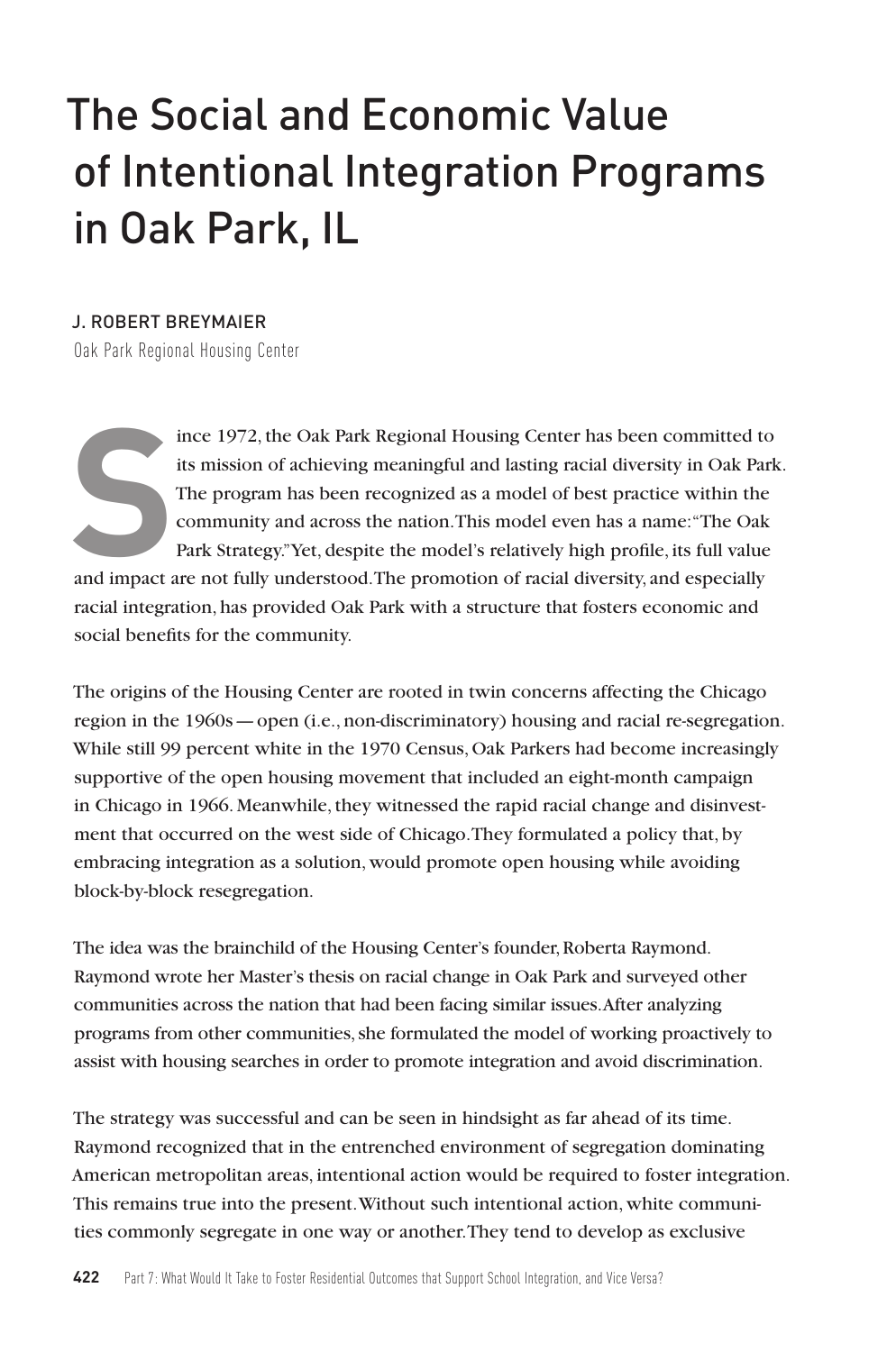# The Social and Economic Value of Intentional Integration Programs in Oak Park, IL

#### J. ROBERT BREYMAIER

Oak Park Regional Housing Center

Find its mission of achieving meaningful and lasting racial diversity in Oak Par<br>
The program has been recognized as a model of best practice within the<br>
community and across the nation. This model even has a name: "The Oa ince 1972, the Oak Park Regional Housing Center has been committed to its mission of achieving meaningful and lasting racial diversity in Oak Park. The program has been recognized as a model of best practice within the community and across the nation. This model even has a name: "The Oak Park Strategy." Yet, despite the model's relatively high profile, its full value

racial integration, has provided Oak Park with a structure that fosters economic and social benefits for the community.

The origins of the Housing Center are rooted in twin concerns affecting the Chicago region in the 1960s—open (i.e., non-discriminatory) housing and racial re-segregation. While still 99 percent white in the 1970 Census, Oak Parkers had become increasingly supportive of the open housing movement that included an eight-month campaign in Chicago in 1966. Meanwhile, they witnessed the rapid racial change and disinvestment that occurred on the west side of Chicago. They formulated a policy that, by embracing integration as a solution, would promote open housing while avoiding block-by-block resegregation.

The idea was the brainchild of the Housing Center's founder, Roberta Raymond. Raymond wrote her Master's thesis on racial change in Oak Park and surveyed other communities across the nation that had been facing similar issues. After analyzing programs from other communities, she formulated the model of working proactively to assist with housing searches in order to promote integration and avoid discrimination.

The strategy was successful and can be seen in hindsight as far ahead of its time. Raymond recognized that in the entrenched environment of segregation dominating American metropolitan areas, intentional action would be required to foster integration. This remains true into the present. Without such intentional action, white communities commonly segregate in one way or another. They tend to develop as exclusive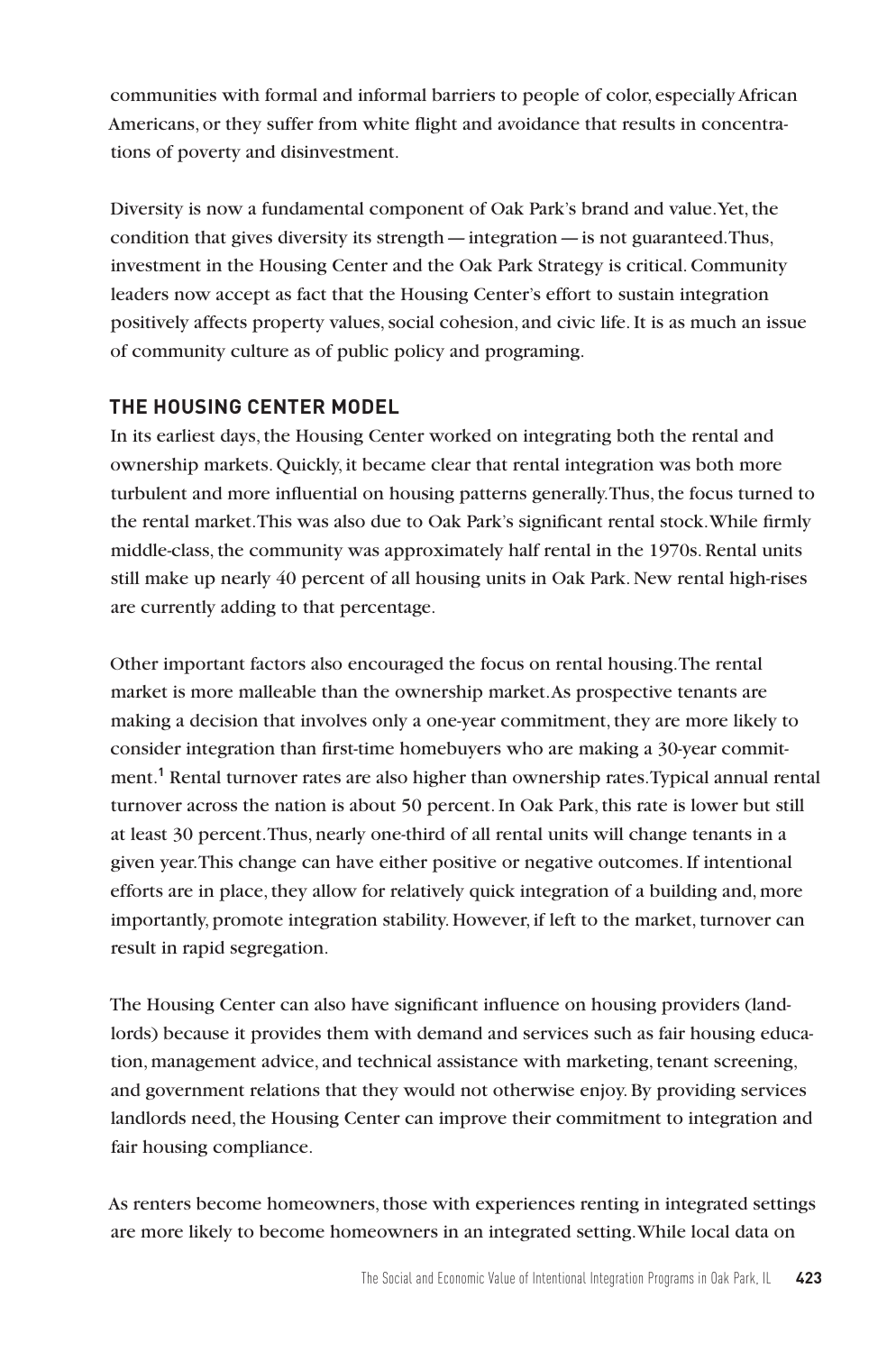communities with formal and informal barriers to people of color, especially African Americans, or they suffer from white flight and avoidance that results in concentrations of poverty and disinvestment.

Diversity is now a fundamental component of Oak Park's brand and value. Yet, the condition that gives diversity its strength—integration—is not guaranteed. Thus, investment in the Housing Center and the Oak Park Strategy is critical. Community leaders now accept as fact that the Housing Center's effort to sustain integration positively affects property values, social cohesion, and civic life. It is as much an issue of community culture as of public policy and programing.

# **THE HOUSING CENTER MODEL**

In its earliest days, the Housing Center worked on integrating both the rental and ownership markets. Quickly, it became clear that rental integration was both more turbulent and more influential on housing patterns generally. Thus, the focus turned to the rental market. This was also due to Oak Park's significant rental stock. While firmly middle-class, the community was approximately half rental in the 1970s. Rental units still make up nearly 40 percent of all housing units in Oak Park. New rental high-rises are currently adding to that percentage.

Other important factors also encouraged the focus on rental housing. The rental market is more malleable than the ownership market. As prospective tenants are making a decision that involves only a one-year commitment, they are more likely to consider integration than first-time homebuyers who are making a 30-year commitment.**<sup>1</sup>** Rental turnover rates are also higher than ownership rates. Typical annual rental turnover across the nation is about 50 percent. In Oak Park, this rate is lower but still at least 30 percent. Thus, nearly one-third of all rental units will change tenants in a given year. This change can have either positive or negative outcomes. If intentional efforts are in place, they allow for relatively quick integration of a building and, more importantly, promote integration stability. However, if left to the market, turnover can result in rapid segregation.

The Housing Center can also have significant influence on housing providers (landlords) because it provides them with demand and services such as fair housing education, management advice, and technical assistance with marketing, tenant screening, and government relations that they would not otherwise enjoy. By providing services landlords need, the Housing Center can improve their commitment to integration and fair housing compliance.

As renters become homeowners, those with experiences renting in integrated settings are more likely to become homeowners in an integrated setting. While local data on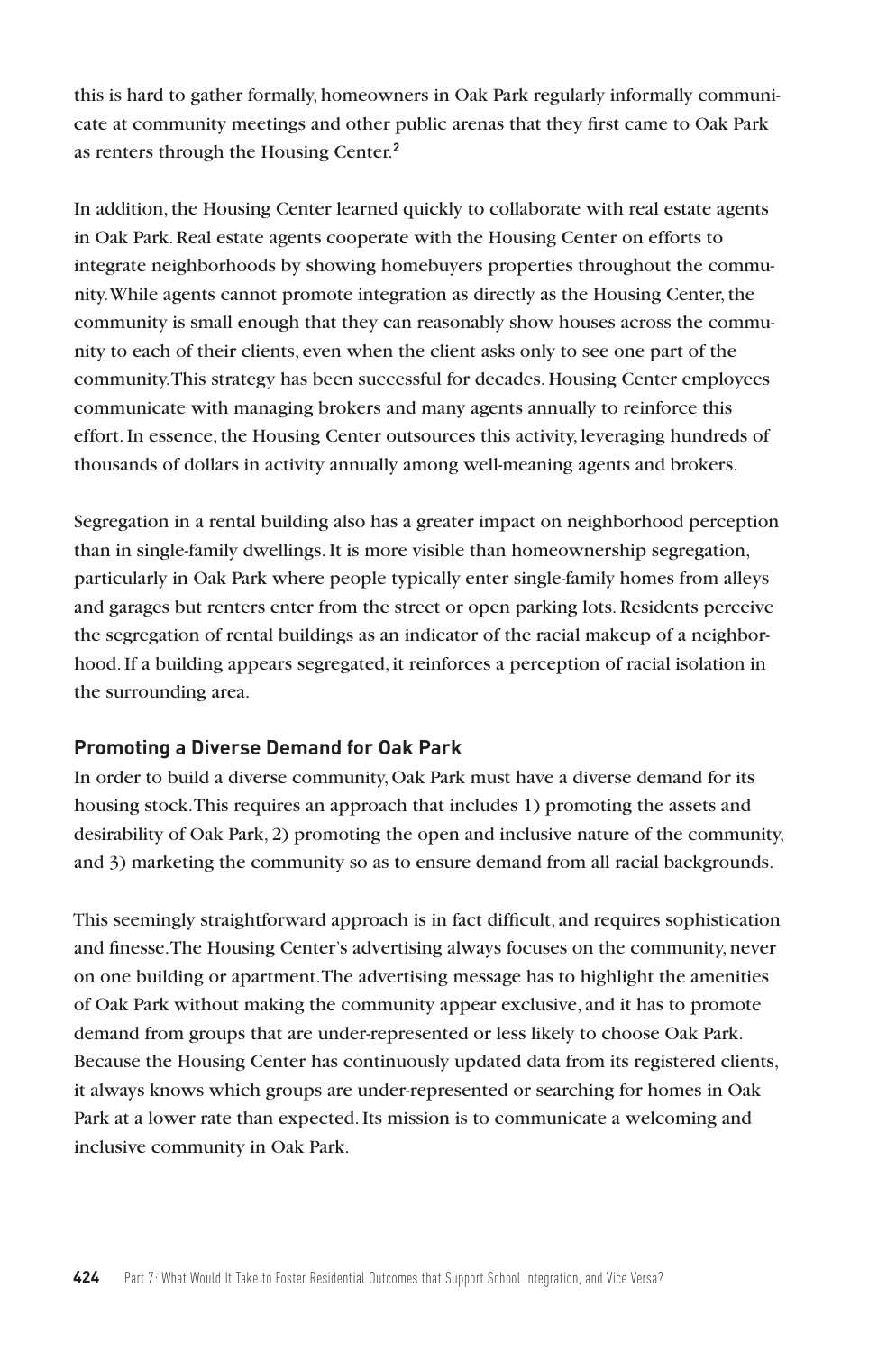this is hard to gather formally, homeowners in Oak Park regularly informally communicate at community meetings and other public arenas that they first came to Oak Park as renters through the Housing Center.**<sup>2</sup>**

In addition, the Housing Center learned quickly to collaborate with real estate agents in Oak Park. Real estate agents cooperate with the Housing Center on efforts to integrate neighborhoods by showing homebuyers properties throughout the community. While agents cannot promote integration as directly as the Housing Center, the community is small enough that they can reasonably show houses across the community to each of their clients, even when the client asks only to see one part of the community. This strategy has been successful for decades. Housing Center employees communicate with managing brokers and many agents annually to reinforce this effort. In essence, the Housing Center outsources this activity, leveraging hundreds of thousands of dollars in activity annually among well-meaning agents and brokers.

Segregation in a rental building also has a greater impact on neighborhood perception than in single-family dwellings. It is more visible than homeownership segregation, particularly in Oak Park where people typically enter single-family homes from alleys and garages but renters enter from the street or open parking lots. Residents perceive the segregation of rental buildings as an indicator of the racial makeup of a neighborhood. If a building appears segregated, it reinforces a perception of racial isolation in the surrounding area.

#### **Promoting a Diverse Demand for Oak Park**

In order to build a diverse community, Oak Park must have a diverse demand for its housing stock. This requires an approach that includes 1) promoting the assets and desirability of Oak Park, 2) promoting the open and inclusive nature of the community, and 3) marketing the community so as to ensure demand from all racial backgrounds.

This seemingly straightforward approach is in fact difficult, and requires sophistication and finesse. The Housing Center's advertising always focuses on the community, never on one building or apartment. The advertising message has to highlight the amenities of Oak Park without making the community appear exclusive, and it has to promote demand from groups that are under-represented or less likely to choose Oak Park. Because the Housing Center has continuously updated data from its registered clients, it always knows which groups are under-represented or searching for homes in Oak Park at a lower rate than expected. Its mission is to communicate a welcoming and inclusive community in Oak Park.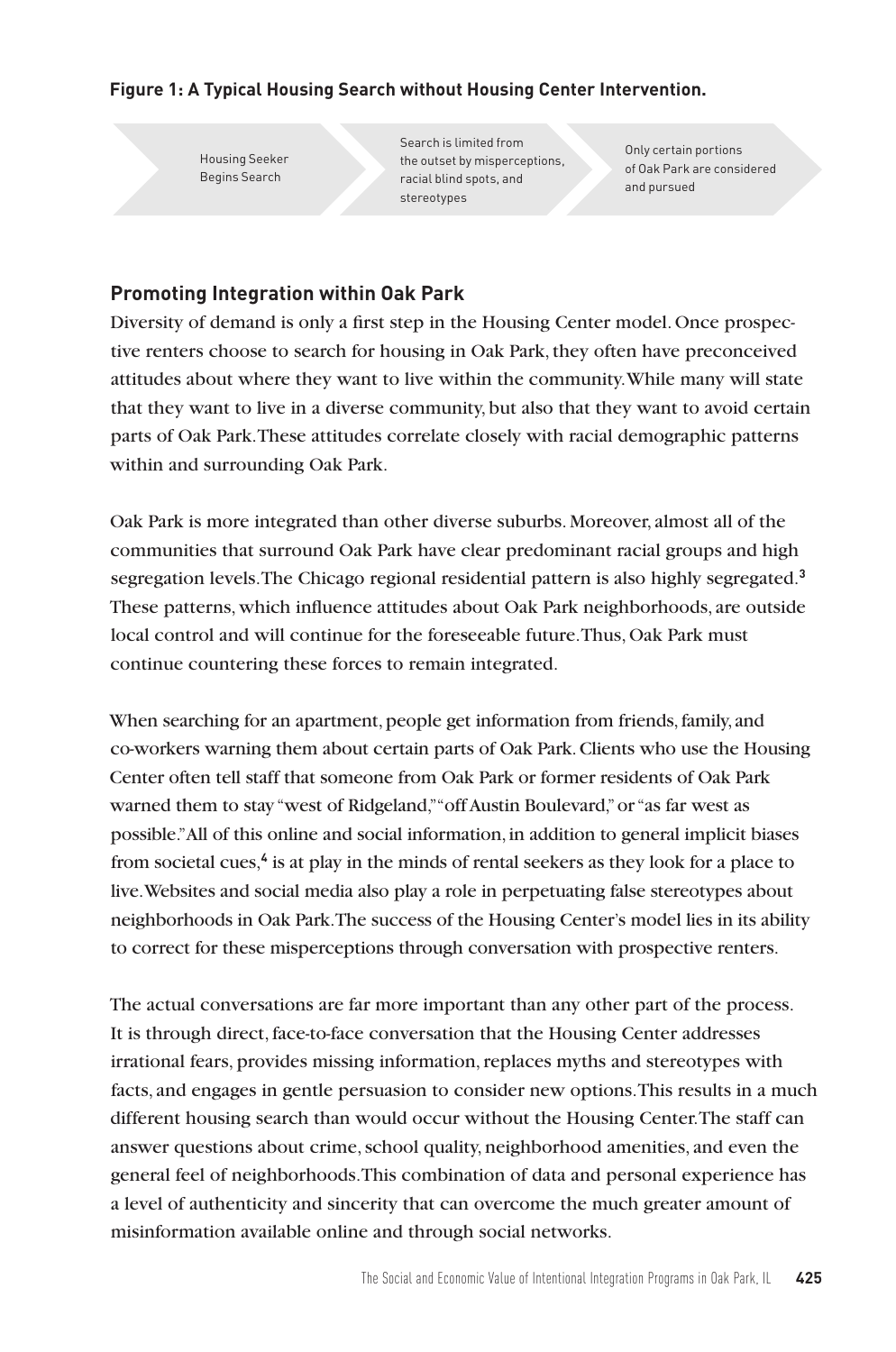## **Figure 1: A Typical Housing Search without Housing Center Intervention.**

Housing Seeker Begins Search

Search is limited from the outset by misperceptions, racial blind spots, and stereotypes

Only certain portions of Oak Park are considered and pursued

# **Promoting Integration within Oak Park**

Diversity of demand is only a first step in the Housing Center model. Once prospective renters choose to search for housing in Oak Park, they often have preconceived attitudes about where they want to live within the community. While many will state that they want to live in a diverse community, but also that they want to avoid certain parts of Oak Park. These attitudes correlate closely with racial demographic patterns within and surrounding Oak Park.

Oak Park is more integrated than other diverse suburbs. Moreover, almost all of the communities that surround Oak Park have clear predominant racial groups and high segregation levels. The Chicago regional residential pattern is also highly segregated.**<sup>3</sup>** These patterns, which influence attitudes about Oak Park neighborhoods, are outside local control and will continue for the foreseeable future. Thus, Oak Park must continue countering these forces to remain integrated.

When searching for an apartment, people get information from friends, family, and co-workers warning them about certain parts of Oak Park. Clients who use the Housing Center often tell staff that someone from Oak Park or former residents of Oak Park warned them to stay "west of Ridgeland," "off Austin Boulevard," or "as far west as possible." All of this online and social information, in addition to general implicit biases from societal cues,**<sup>4</sup>** is at play in the minds of rental seekers as they look for a place to live. Websites and social media also play a role in perpetuating false stereotypes about neighborhoods in Oak Park. The success of the Housing Center's model lies in its ability to correct for these misperceptions through conversation with prospective renters.

The actual conversations are far more important than any other part of the process. It is through direct, face-to-face conversation that the Housing Center addresses irrational fears, provides missing information, replaces myths and stereotypes with facts, and engages in gentle persuasion to consider new options. This results in a much different housing search than would occur without the Housing Center. The staff can answer questions about crime, school quality, neighborhood amenities, and even the general feel of neighborhoods. This combination of data and personal experience has a level of authenticity and sincerity that can overcome the much greater amount of misinformation available online and through social networks.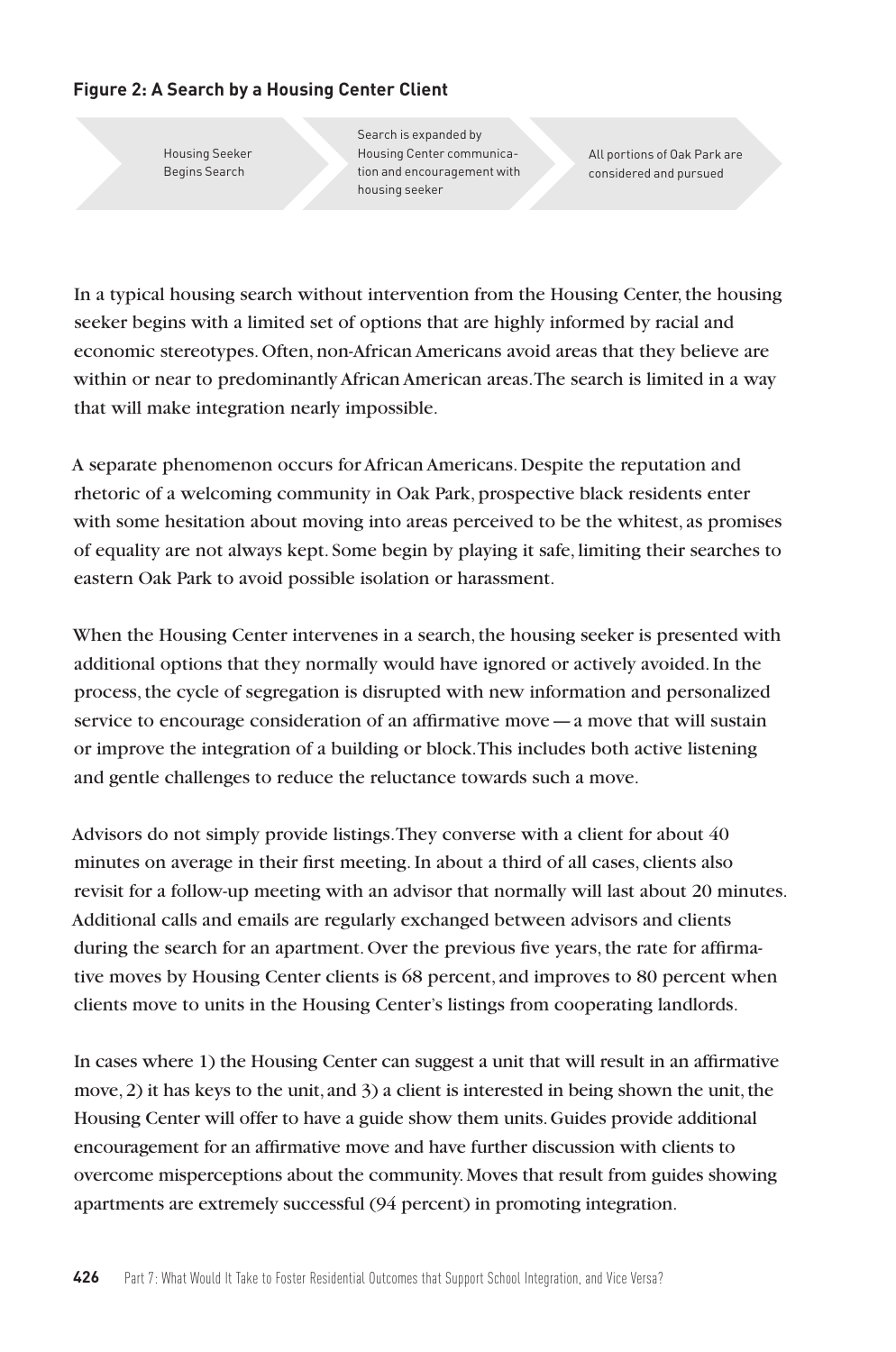## **Figure 2: A Search by a Housing Center Client**

Housing Seeker Begins Search

Search is expanded by Housing Center communication and encouragement with housing seeker

All portions of Oak Park are considered and pursued

In a typical housing search without intervention from the Housing Center, the housing seeker begins with a limited set of options that are highly informed by racial and economic stereotypes. Often, non-African Americans avoid areas that they believe are within or near to predominantly African American areas. The search is limited in a way that will make integration nearly impossible.

A separate phenomenon occurs for African Americans. Despite the reputation and rhetoric of a welcoming community in Oak Park, prospective black residents enter with some hesitation about moving into areas perceived to be the whitest, as promises of equality are not always kept. Some begin by playing it safe, limiting their searches to eastern Oak Park to avoid possible isolation or harassment.

When the Housing Center intervenes in a search, the housing seeker is presented with additional options that they normally would have ignored or actively avoided. In the process, the cycle of segregation is disrupted with new information and personalized service to encourage consideration of an affirmative move—a move that will sustain or improve the integration of a building or block. This includes both active listening and gentle challenges to reduce the reluctance towards such a move.

Advisors do not simply provide listings. They converse with a client for about 40 minutes on average in their first meeting. In about a third of all cases, clients also revisit for a follow-up meeting with an advisor that normally will last about 20 minutes. Additional calls and emails are regularly exchanged between advisors and clients during the search for an apartment. Over the previous five years, the rate for affirmative moves by Housing Center clients is 68 percent, and improves to 80 percent when clients move to units in the Housing Center's listings from cooperating landlords.

In cases where 1) the Housing Center can suggest a unit that will result in an affirmative move, 2) it has keys to the unit, and 3) a client is interested in being shown the unit, the Housing Center will offer to have a guide show them units. Guides provide additional encouragement for an affirmative move and have further discussion with clients to overcome misperceptions about the community. Moves that result from guides showing apartments are extremely successful (94 percent) in promoting integration.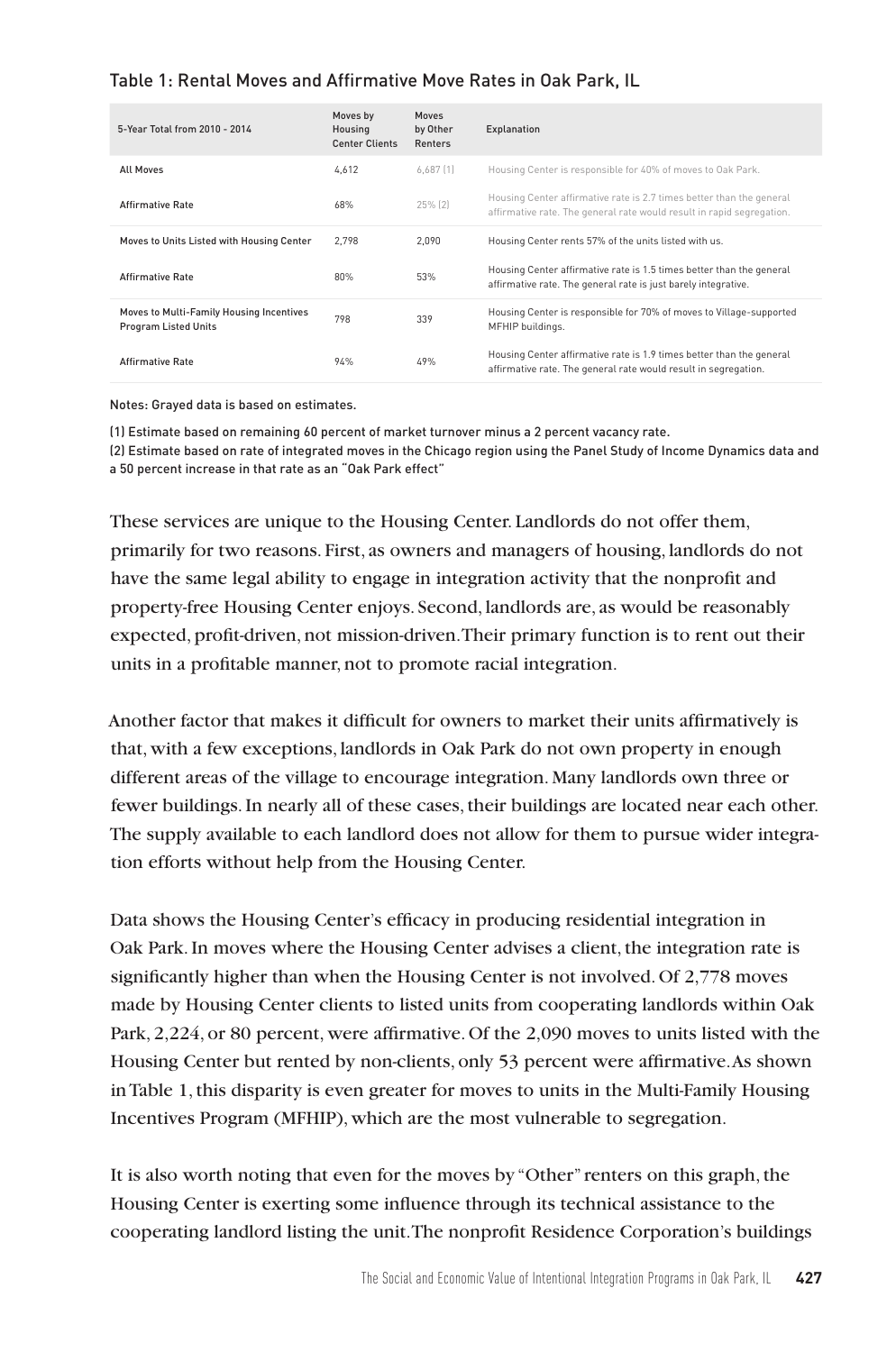## Table 1: Rental Moves and Affirmative Move Rates in Oak Park, IL

| 5-Year Total from 2010 - 2014                                           | Moves by<br>Housing<br><b>Center Clients</b> | <b>Moves</b><br>by Other<br><b>Renters</b> | Explanation                                                                                                                                   |
|-------------------------------------------------------------------------|----------------------------------------------|--------------------------------------------|-----------------------------------------------------------------------------------------------------------------------------------------------|
| All Moves                                                               | 4.612                                        | 6.687[1]                                   | Housing Center is responsible for 40% of moves to Oak Park.                                                                                   |
| <b>Affirmative Rate</b>                                                 | 68%                                          | 25% [2]                                    | Housing Center affirmative rate is 2.7 times better than the general<br>affirmative rate. The general rate would result in rapid segregation. |
| Moves to Units Listed with Housing Center                               | 2.798                                        | 2.090                                      | Housing Center rents 57% of the units listed with us.                                                                                         |
| <b>Affirmative Rate</b>                                                 | 80%                                          | 53%                                        | Housing Center affirmative rate is 1.5 times better than the general<br>affirmative rate. The general rate is just barely integrative.        |
| Moves to Multi-Family Housing Incentives<br><b>Program Listed Units</b> | 798                                          | 339                                        | Housing Center is responsible for 70% of moves to Village-supported<br>MFHIP buildings.                                                       |
| <b>Affirmative Rate</b>                                                 | 94%                                          | 49%                                        | Housing Center affirmative rate is 1.9 times better than the general<br>affirmative rate. The general rate would result in segregation.       |

Notes: Grayed data is based on estimates.

(1) Estimate based on remaining 60 percent of market turnover minus a 2 percent vacancy rate. (2) Estimate based on rate of integrated moves in the Chicago region using the Panel Study of Income Dynamics data and a 50 percent increase in that rate as an "Oak Park effect"

These services are unique to the Housing Center. Landlords do not offer them, primarily for two reasons. First, as owners and managers of housing, landlords do not have the same legal ability to engage in integration activity that the nonprofit and property-free Housing Center enjoys. Second, landlords are, as would be reasonably expected, profit-driven, not mission-driven. Their primary function is to rent out their units in a profitable manner, not to promote racial integration.

Another factor that makes it difficult for owners to market their units affirmatively is that, with a few exceptions, landlords in Oak Park do not own property in enough different areas of the village to encourage integration. Many landlords own three or fewer buildings. In nearly all of these cases, their buildings are located near each other. The supply available to each landlord does not allow for them to pursue wider integration efforts without help from the Housing Center.

Data shows the Housing Center's efficacy in producing residential integration in Oak Park. In moves where the Housing Center advises a client, the integration rate is significantly higher than when the Housing Center is not involved. Of 2,778 moves made by Housing Center clients to listed units from cooperating landlords within Oak Park, 2,224, or 80 percent, were affirmative. Of the 2,090 moves to units listed with the Housing Center but rented by non-clients, only 53 percent were affirmative. As shown in Table 1, this disparity is even greater for moves to units in the Multi-Family Housing Incentives Program (MFHIP), which are the most vulnerable to segregation.

It is also worth noting that even for the moves by "Other" renters on this graph, the Housing Center is exerting some influence through its technical assistance to the cooperating landlord listing the unit. The nonprofit Residence Corporation's buildings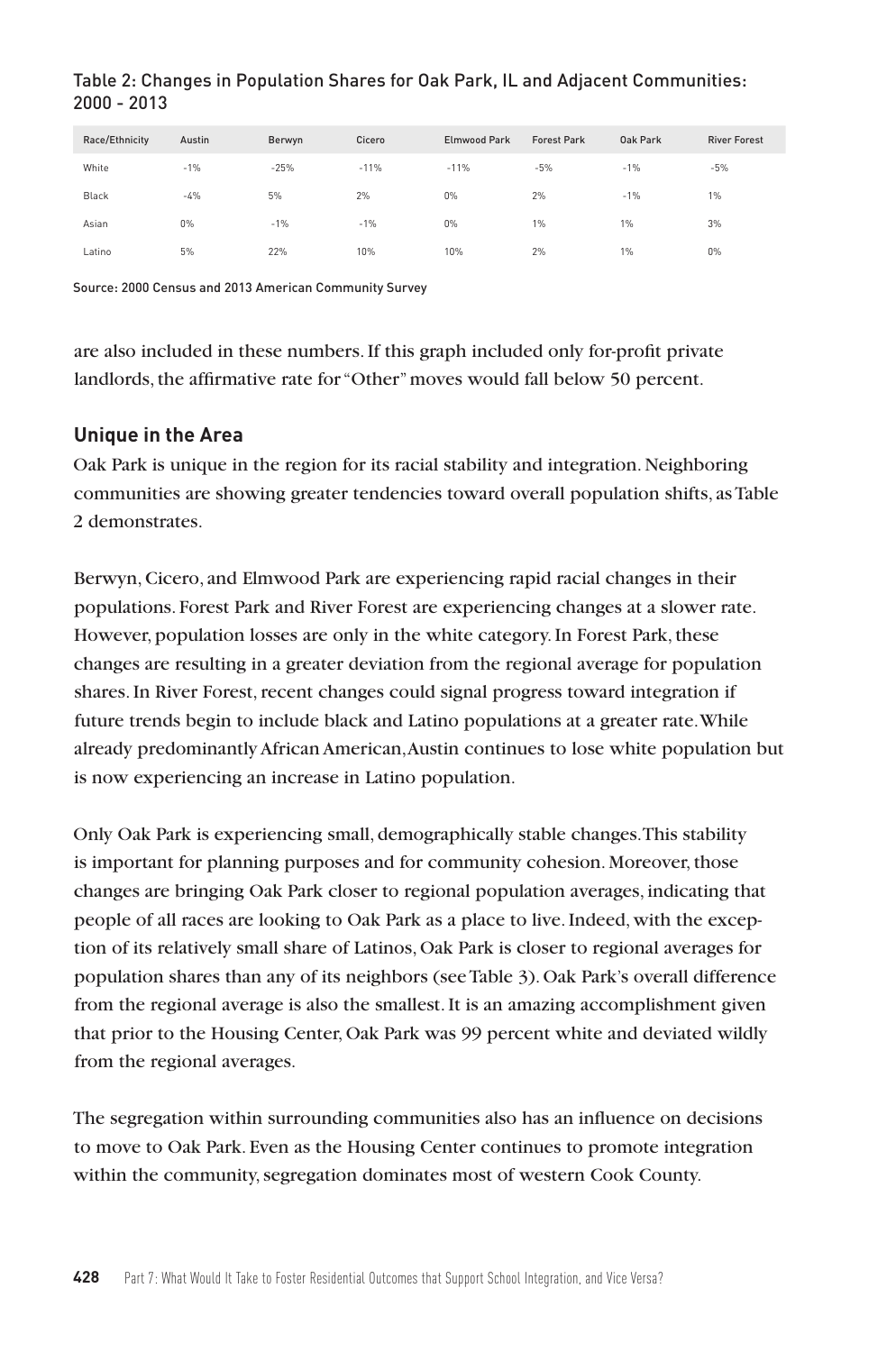#### Table 2: Changes in Population Shares for Oak Park, IL and Adjacent Communities: 2000 - 2013

| Race/Ethnicity | Austin | Berwyn | Cicero | <b>Elmwood Park</b> | <b>Forest Park</b> | Oak Park | <b>River Forest</b> |
|----------------|--------|--------|--------|---------------------|--------------------|----------|---------------------|
| White          | $-1%$  | $-25%$ | $-11%$ | $-11%$              | $-5%$              | $-1%$    | $-5%$               |
| Black          | $-4%$  | 5%     | 2%     | 0%                  | 2%                 | $-1%$    | $1\%$               |
| Asian          | $0\%$  | $-1%$  | $-1%$  | $0\%$               | 1%                 | 1%       | 3%                  |
| Latino         | 5%     | 22%    | 10%    | 10%                 | 2%                 | 1%       | $0\%$               |

Source: 2000 Census and 2013 American Community Survey

are also included in these numbers. If this graph included only for-profit private landlords, the affirmative rate for "Other" moves would fall below 50 percent.

## **Unique in the Area**

Oak Park is unique in the region for its racial stability and integration. Neighboring communities are showing greater tendencies toward overall population shifts, as Table 2 demonstrates.

Berwyn, Cicero, and Elmwood Park are experiencing rapid racial changes in their populations. Forest Park and River Forest are experiencing changes at a slower rate. However, population losses are only in the white category. In Forest Park, these changes are resulting in a greater deviation from the regional average for population shares. In River Forest, recent changes could signal progress toward integration if future trends begin to include black and Latino populations at a greater rate. While already predominantly African American, Austin continues to lose white population but is now experiencing an increase in Latino population.

Only Oak Park is experiencing small, demographically stable changes. This stability is important for planning purposes and for community cohesion. Moreover, those changes are bringing Oak Park closer to regional population averages, indicating that people of all races are looking to Oak Park as a place to live. Indeed, with the exception of its relatively small share of Latinos, Oak Park is closer to regional averages for population shares than any of its neighbors (see Table 3). Oak Park's overall difference from the regional average is also the smallest. It is an amazing accomplishment given that prior to the Housing Center, Oak Park was 99 percent white and deviated wildly from the regional averages.

The segregation within surrounding communities also has an influence on decisions to move to Oak Park. Even as the Housing Center continues to promote integration within the community, segregation dominates most of western Cook County.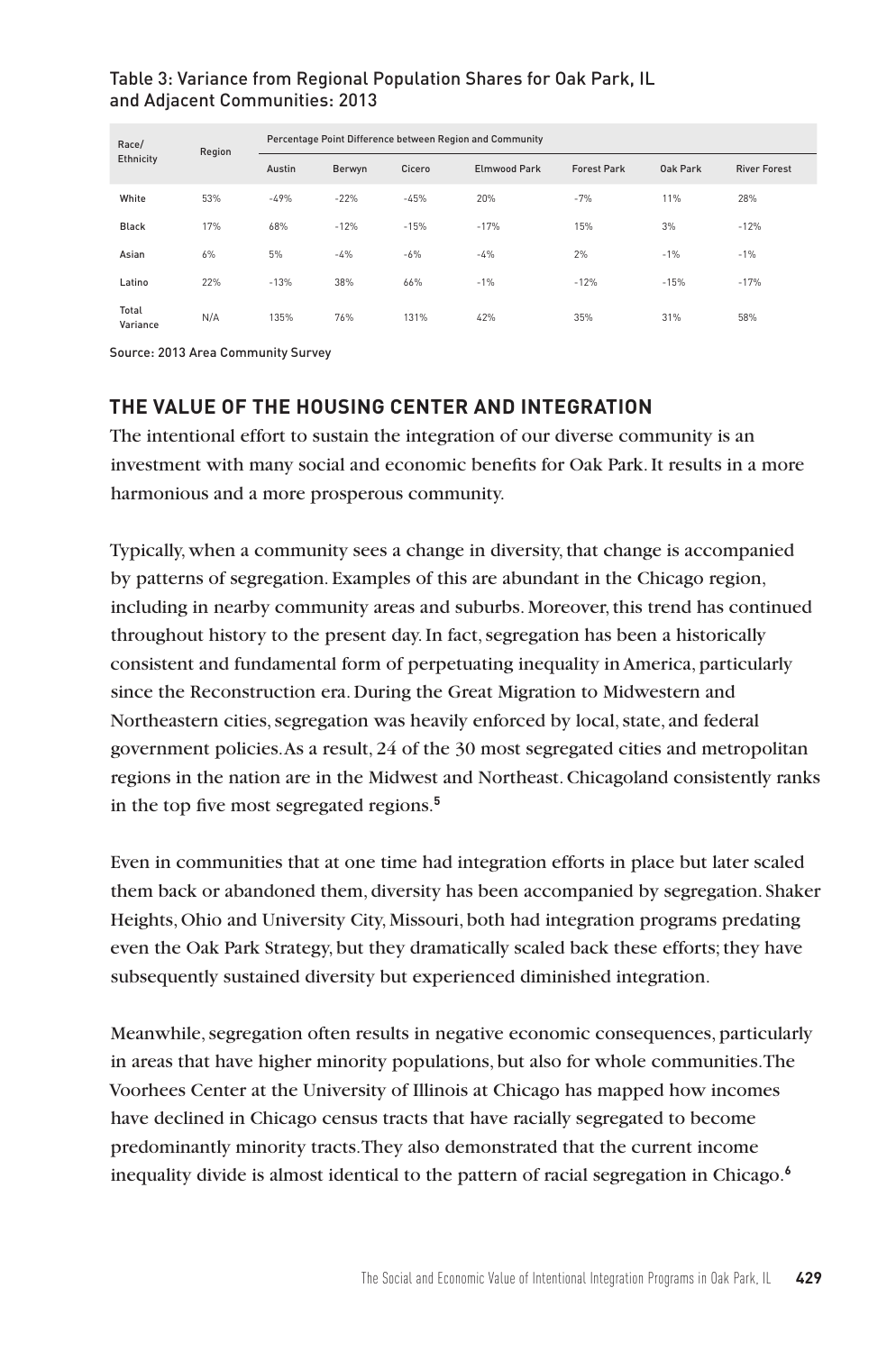#### Table 3: Variance from Regional Population Shares for Oak Park, IL and Adjacent Communities: 2013

| Race/<br>Ethnicity | Region | Percentage Point Difference between Region and Community |        |        |                     |                    |          |                     |
|--------------------|--------|----------------------------------------------------------|--------|--------|---------------------|--------------------|----------|---------------------|
|                    |        | Austin                                                   | Berwyn | Cicero | <b>Elmwood Park</b> | <b>Forest Park</b> | Oak Park | <b>River Forest</b> |
| White              | 53%    | $-49%$                                                   | $-22%$ | $-45%$ | 20%                 | $-7%$              | 11%      | 28%                 |
| Black              | 17%    | 68%                                                      | $-12%$ | $-15%$ | $-17%$              | 15%                | 3%       | $-12%$              |
| Asian              | 6%     | 5%                                                       | $-4%$  | $-6%$  | $-4%$               | 2%                 | $-1%$    | $-1%$               |
| Latino             | 22%    | $-13%$                                                   | 38%    | 66%    | $-1%$               | $-12%$             | $-15%$   | $-17%$              |
| Total<br>Variance  | N/A    | 135%                                                     | 76%    | 131%   | 42%                 | 35%                | 31%      | 58%                 |

Source: 2013 Area Community Survey

# **THE VALUE OF THE HOUSING CENTER AND INTEGRATION**

The intentional effort to sustain the integration of our diverse community is an investment with many social and economic benefits for Oak Park.It results in a more harmonious and a more prosperous community.

Typically, when a community sees a change in diversity, that change is accompanied by patterns of segregation. Examples of this are abundant in the Chicago region, including in nearby community areas and suburbs. Moreover, this trend has continued throughout history to the present day. In fact, segregation has been a historically consistent and fundamental form of perpetuating inequality in America, particularly since the Reconstruction era. During the Great Migration to Midwestern and Northeastern cities, segregation was heavily enforced by local, state, and federal government policies. As a result, 24 of the 30 most segregated cities and metropolitan regions in the nation are in the Midwest and Northeast. Chicagoland consistently ranks in the top five most segregated regions.**<sup>5</sup>**

Even in communities that at one time had integration efforts in place but later scaled them back or abandoned them, diversity has been accompanied by segregation. Shaker Heights, Ohio and University City, Missouri, both had integration programs predating even the Oak Park Strategy, but they dramatically scaled back these efforts; they have subsequently sustained diversity but experienced diminished integration.

Meanwhile, segregation often results in negative economic consequences, particularly in areas that have higher minority populations, but also for whole communities.The Voorhees Center at the University of Illinois at Chicago has mapped how incomes have declined in Chicago census tracts that have racially segregated to become predominantly minority tracts. They also demonstrated that the current income inequality divide is almost identical to the pattern of racial segregation in Chicago.**<sup>6</sup>**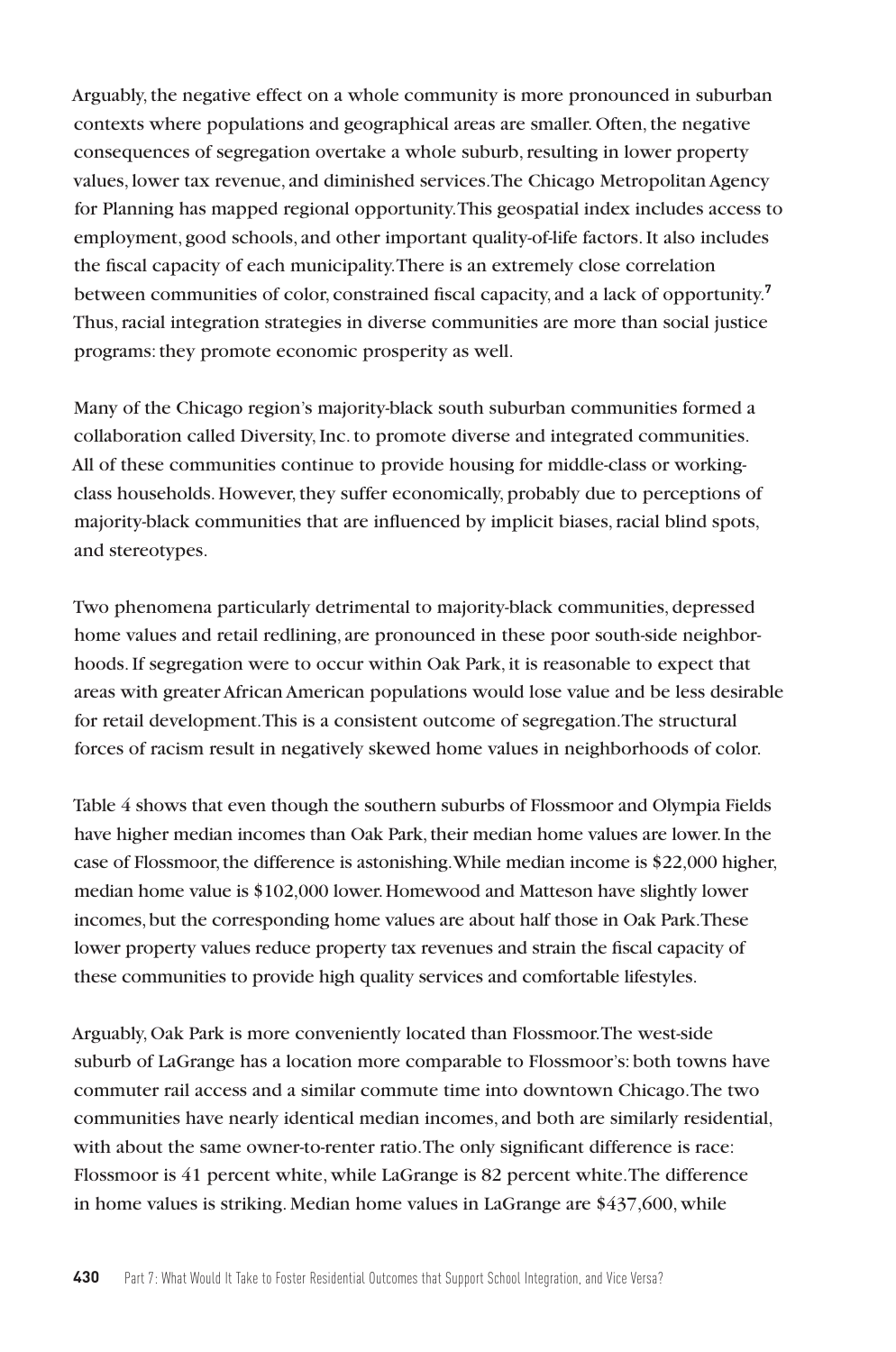Arguably, the negative effect on a whole community is more pronounced in suburban contexts where populations and geographical areas are smaller. Often, the negative consequences of segregation overtake a whole suburb, resulting in lower property values, lower tax revenue, and diminished services. The Chicago Metropolitan Agency for Planning has mapped regional opportunity. This geospatial index includes access to employment, good schools, and other important quality-of-life factors. It also includes the fiscal capacity of each municipality. There is an extremely close correlation between communities of color, constrained fiscal capacity, and a lack of opportunity.**<sup>7</sup>** Thus, racial integration strategies in diverse communities are more than social justice programs: they promote economic prosperity as well.

Many of the Chicago region's majority-black south suburban communities formed a collaboration called Diversity, Inc. to promote diverse and integrated communities. All of these communities continue to provide housing for middle-class or workingclass households. However, they suffer economically, probably due to perceptions of majority-black communities that are influenced by implicit biases, racial blind spots, and stereotypes.

Two phenomena particularly detrimental to majority-black communities, depressed home values and retail redlining, are pronounced in these poor south-side neighborhoods. If segregation were to occur within Oak Park, it is reasonable to expect that areas with greater African American populations would lose value and be less desirable for retail development. This is a consistent outcome of segregation. The structural forces of racism result in negatively skewed home values in neighborhoods of color.

Table 4 shows that even though the southern suburbs of Flossmoor and Olympia Fields have higher median incomes than Oak Park, their median home values are lower. In the case of Flossmoor, the difference is astonishing. While median income is \$22,000 higher, median home value is \$102,000 lower. Homewood and Matteson have slightly lower incomes, but the corresponding home values are about half those in Oak Park. These lower property values reduce property tax revenues and strain the fiscal capacity of these communities to provide high quality services and comfortable lifestyles.

Arguably, Oak Park is more conveniently located than Flossmoor. The west-side suburb of LaGrange has a location more comparable to Flossmoor's: both towns have commuter rail access and a similar commute time into downtown Chicago. The two communities have nearly identical median incomes, and both are similarly residential, with about the same owner-to-renter ratio. The only significant difference is race: Flossmoor is 41 percent white, while LaGrange is 82 percent white. The difference in home values is striking. Median home values in LaGrange are \$437,600, while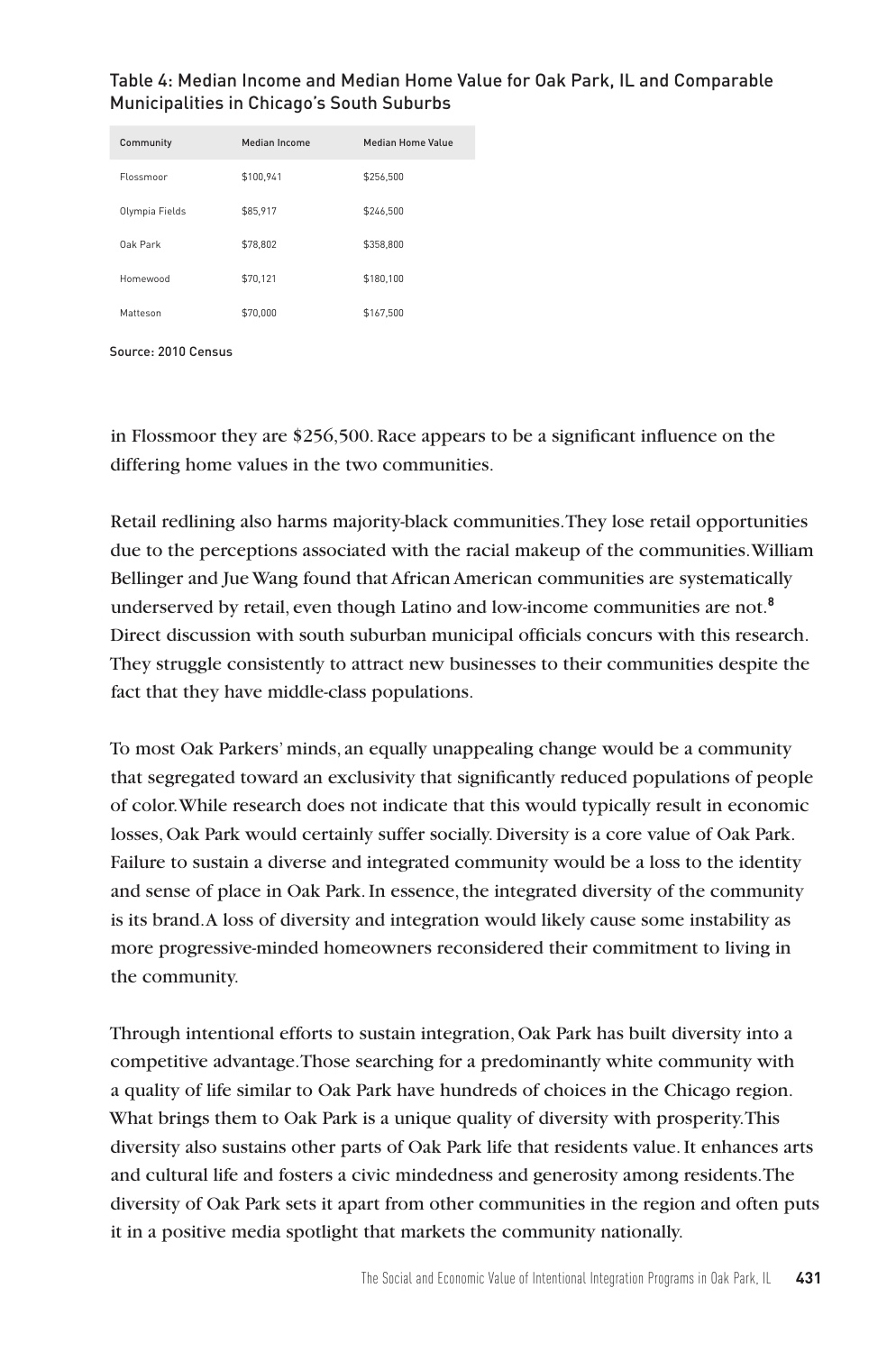| Community      | Median Income | Median Home Value |
|----------------|---------------|-------------------|
| Flossmoor      | \$100.941     | \$256.500         |
| Olympia Fields | \$85.917      | \$246.500         |
| Oak Park       | \$78,802      | \$358,800         |
| Homewood       | \$70,121      | \$180,100         |
| Matteson       | \$70,000      | \$167.500         |

## Table 4: Median Income and Median Home Value for Oak Park, IL and Comparable Municipalities in Chicago's South Suburbs



in Flossmoor they are \$256,500. Race appears to be a significant influence on the differing home values in the two communities.

Retail redlining also harms majority-black communities. They lose retail opportunities due to the perceptions associated with the racial makeup of the communities. William Bellinger and Jue Wang found that African American communities are systematically underserved by retail, even though Latino and low-income communities are not.**<sup>8</sup>** Direct discussion with south suburban municipal officials concurs with this research. They struggle consistently to attract new businesses to their communities despite the fact that they have middle-class populations.

To most Oak Parkers' minds, an equally unappealing change would be a community that segregated toward an exclusivity that significantly reduced populations of people of color. While research does not indicate that this would typically result in economic losses, Oak Park would certainly suffer socially. Diversity is a core value of Oak Park. Failure to sustain a diverse and integrated community would be a loss to the identity and sense of place in Oak Park. In essence, the integrated diversity of the community is its brand. A loss of diversity and integration would likely cause some instability as more progressive-minded homeowners reconsidered their commitment to living in the community.

Through intentional efforts to sustain integration, Oak Park has built diversity into a competitive advantage. Those searching for a predominantly white community with a quality of life similar to Oak Park have hundreds of choices in the Chicago region. What brings them to Oak Park is a unique quality of diversity with prosperity. This diversity also sustains other parts of Oak Park life that residents value. It enhances arts and cultural life and fosters a civic mindedness and generosity among residents. The diversity of Oak Park sets it apart from other communities in the region and often puts it in a positive media spotlight that markets the community nationally.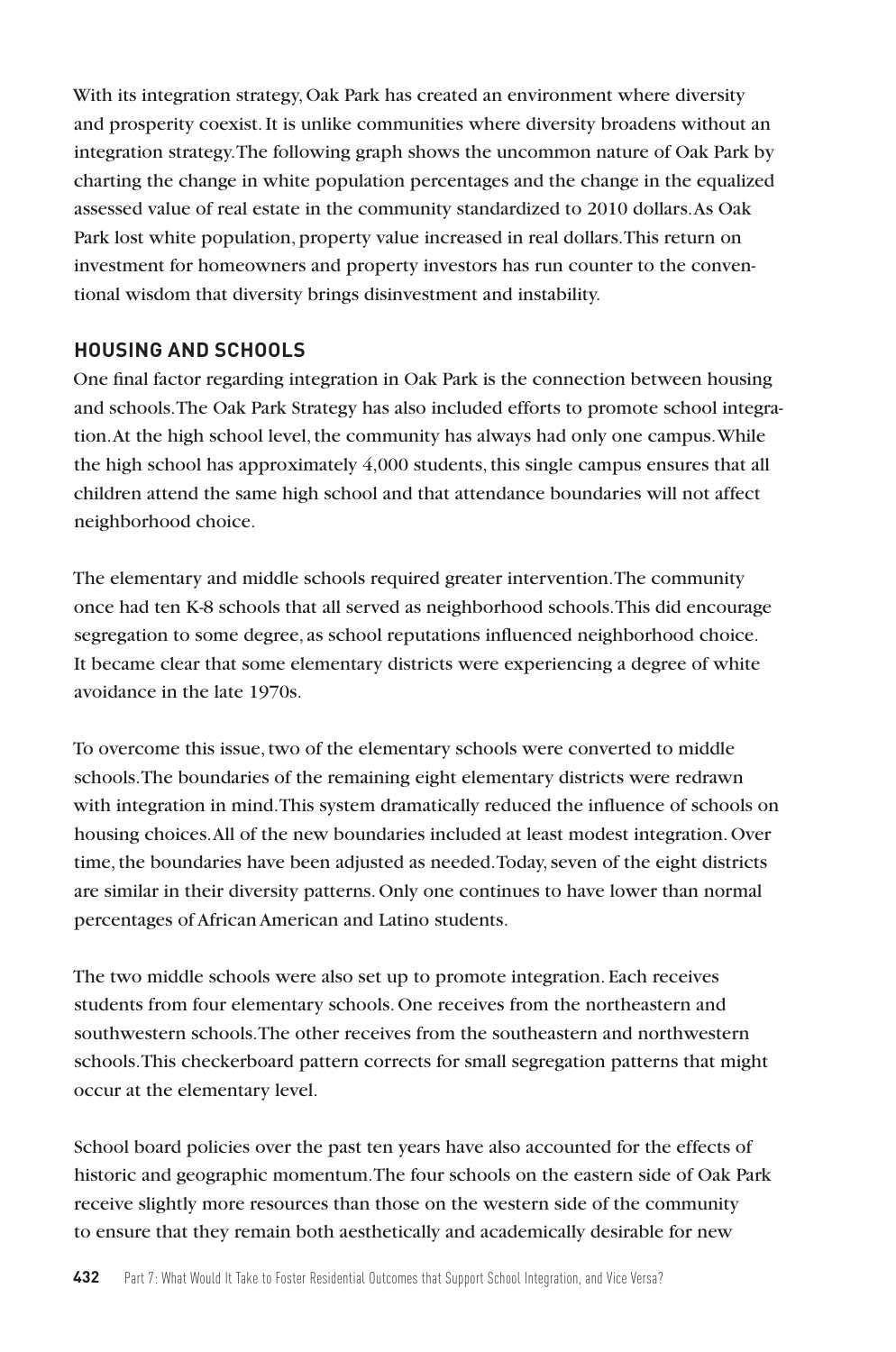With its integration strategy, Oak Park has created an environment where diversity and prosperity coexist. It is unlike communities where diversity broadens without an integration strategy. The following graph shows the uncommon nature of Oak Park by charting the change in white population percentages and the change in the equalized assessed value of real estate in the community standardized to 2010 dollars. As Oak Park lost white population, property value increased in real dollars. This return on investment for homeowners and property investors has run counter to the conventional wisdom that diversity brings disinvestment and instability.

## **HOUSING AND SCHOOLS**

One final factor regarding integration in Oak Park is the connection between housing and schools. The Oak Park Strategy has also included efforts to promote school integration. At the high school level, the community has always had only one campus. While the high school has approximately 4,000 students, this single campus ensures that all children attend the same high school and that attendance boundaries will not affect neighborhood choice.

The elementary and middle schools required greater intervention. The community once had ten K-8 schools that all served as neighborhood schools. This did encourage segregation to some degree, as school reputations influenced neighborhood choice. It became clear that some elementary districts were experiencing a degree of white avoidance in the late 1970s.

To overcome this issue, two of the elementary schools were converted to middle schools. The boundaries of the remaining eight elementary districts were redrawn with integration in mind. This system dramatically reduced the influence of schools on housing choices. All of the new boundaries included at least modest integration. Over time, the boundaries have been adjusted as needed. Today, seven of the eight districts are similar in their diversity patterns. Only one continues to have lower than normal percentages of African American and Latino students.

The two middle schools were also set up to promote integration. Each receives students from four elementary schools. One receives from the northeastern and southwestern schools. The other receives from the southeastern and northwestern schools. This checkerboard pattern corrects for small segregation patterns that might occur at the elementary level.

School board policies over the past ten years have also accounted for the effects of historic and geographic momentum. The four schools on the eastern side of Oak Park receive slightly more resources than those on the western side of the community to ensure that they remain both aesthetically and academically desirable for new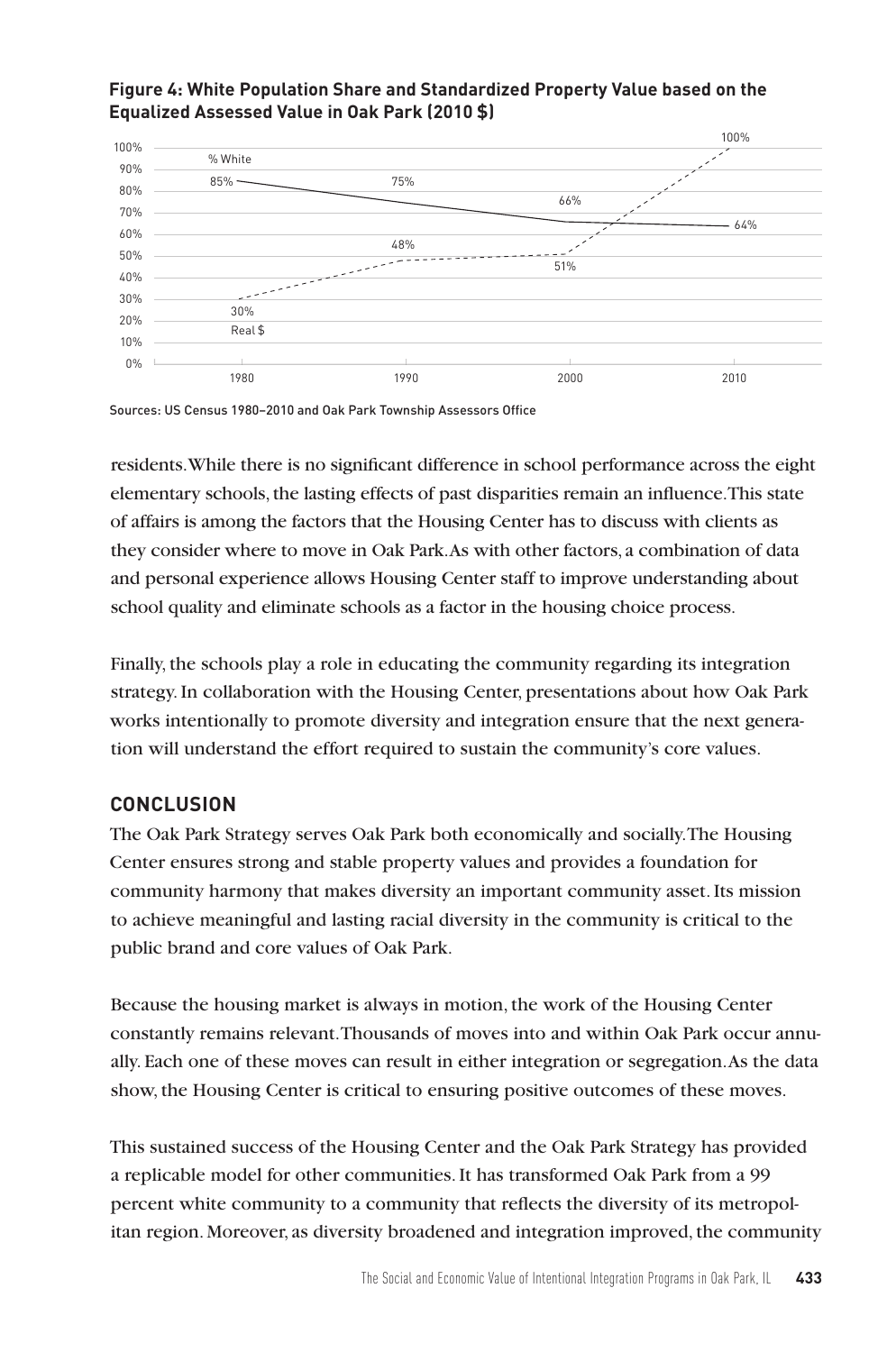#### **Figure 4: White Population Share and Standardized Property Value based on the Equalized Assessed Value in Oak Park (2010 \$)**



Sources: US Census 1980–2010 and Oak Park Township Assessors Office

residents. While there is no significant difference in school performance across the eight elementary schools, the lasting effects of past disparities remain an influence. This state of affairs is among the factors that the Housing Center has to discuss with clients as they consider where to move in Oak Park. As with other factors, a combination of data and personal experience allows Housing Center staff to improve understanding about school quality and eliminate schools as a factor in the housing choice process.

Finally, the schools play a role in educating the community regarding its integration strategy. In collaboration with the Housing Center, presentations about how Oak Park works intentionally to promote diversity and integration ensure that the next generation will understand the effort required to sustain the community's core values.

## **CONCLUSION**

The Oak Park Strategy serves Oak Park both economically and socially. The Housing Center ensures strong and stable property values and provides a foundation for community harmony that makes diversity an important community asset. Its mission to achieve meaningful and lasting racial diversity in the community is critical to the public brand and core values of Oak Park.

Because the housing market is always in motion, the work of the Housing Center constantly remains relevant. Thousands of moves into and within Oak Park occur annually. Each one of these moves can result in either integration or segregation. As the data show, the Housing Center is critical to ensuring positive outcomes of these moves.

This sustained success of the Housing Center and the Oak Park Strategy has provided a replicable model for other communities. It has transformed Oak Park from a 99 percent white community to a community that reflects the diversity of its metropolitan region. Moreover, as diversity broadened and integration improved, the community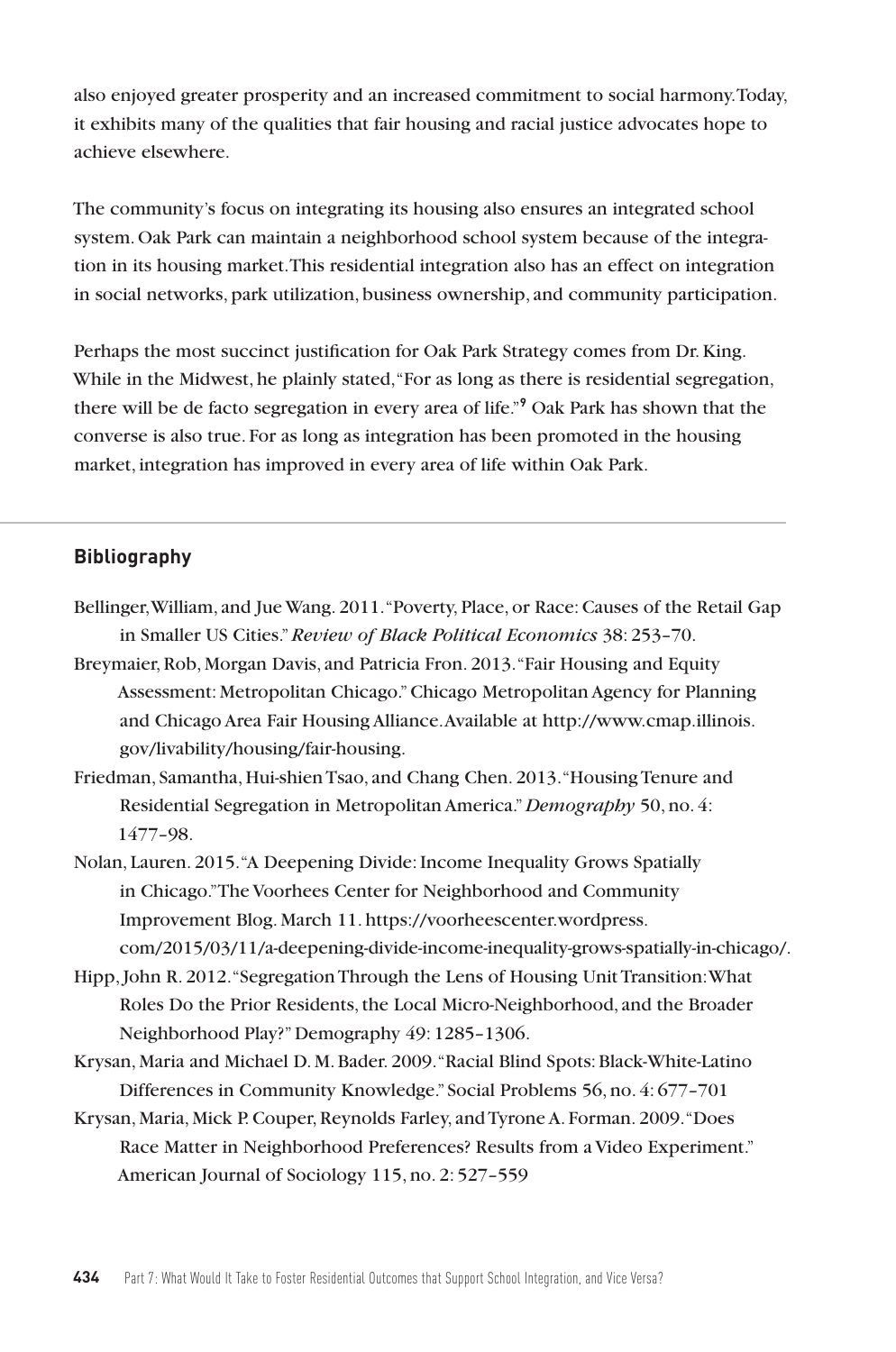also enjoyed greater prosperity and an increased commitment to social harmony. Today, it exhibits many of the qualities that fair housing and racial justice advocates hope to achieve elsewhere.

The community's focus on integrating its housing also ensures an integrated school system. Oak Park can maintain a neighborhood school system because of the integration in its housing market. This residential integration also has an effect on integration in social networks, park utilization, business ownership, and community participation.

Perhaps the most succinct justification for Oak Park Strategy comes from Dr. King. While in the Midwest, he plainly stated, "For as long as there is residential segregation, there will be de facto segregation in every area of life."**<sup>9</sup>** Oak Park has shown that the converse is also true. For as long as integration has been promoted in the housing market, integration has improved in every area of life within Oak Park.

## **Bibliography**

- Bellinger, William, and Jue Wang. 2011. "Poverty, Place, or Race: Causes of the Retail Gap in Smaller US Cities." *Review of Black Political Economics* 38: 253–70.
- Breymaier, Rob, Morgan Davis, and Patricia Fron. 2013. "Fair Housing and Equity Assessment: Metropolitan Chicago." Chicago Metropolitan Agency for Planning and Chicago Area Fair Housing Alliance. Available at http://www.cmap.illinois. gov/livability/housing/fair-housing.
- Friedman, Samantha, Hui-shien Tsao, and Chang Chen. 2013. "Housing Tenure and Residential Segregation in Metropolitan America." *Demography* 50, no. 4: 1477–98.
- Nolan, Lauren. 2015. "A Deepening Divide: Income Inequality Grows Spatially in Chicago." The Voorhees Center for Neighborhood and Community Improvement Blog. March 11. https://voorheescenter.wordpress. com/2015/03/11/a-deepening-divide-income-inequality-grows-spatially-in-chicago/.
- Hipp, John R. 2012. "Segregation Through the Lens of Housing Unit Transition: What Roles Do the Prior Residents, the Local Micro-Neighborhood, and the Broader Neighborhood Play?" Demography 49: 1285–1306.
- Krysan, Maria and Michael D. M. Bader. 2009. "Racial Blind Spots: Black-White-Latino Differences in Community Knowledge." Social Problems 56, no. 4: 677–701
- Krysan, Maria, Mick P. Couper, Reynolds Farley, and Tyrone A. Forman. 2009. "Does Race Matter in Neighborhood Preferences? Results from a Video Experiment." American Journal of Sociology 115, no. 2: 527–559